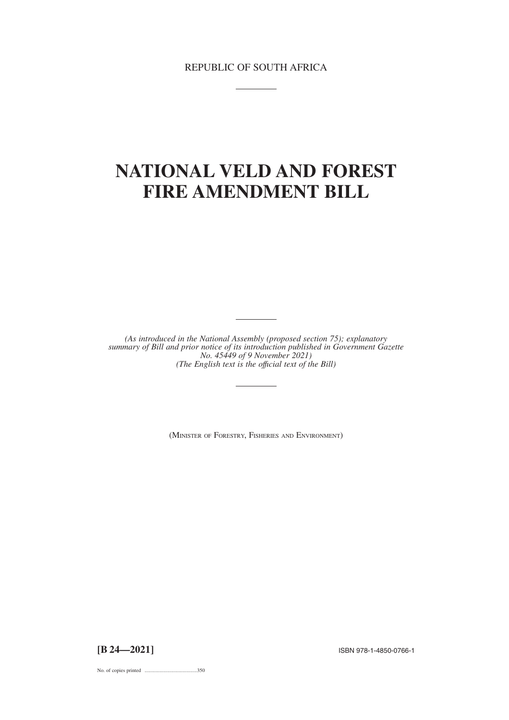REPUBLIC OF SOUTH AFRICA

# **NATIONAL VELD AND FOREST FIRE AMENDMENT BILL**

*(As introduced in the National Assembly (proposed section 75); explanatory summary of Bill and prior notice of its introduction published in Government Gazette No. 45449 of 9 November 2021) (The English text is the offıcial text of the Bill)*

(MINISTER OF FORESTRY, FISHERIES AND ENVIRONMENT)

**[B 24—2021]** ISBN 978-1-4850-0766-1

No. of copies printed .........................................350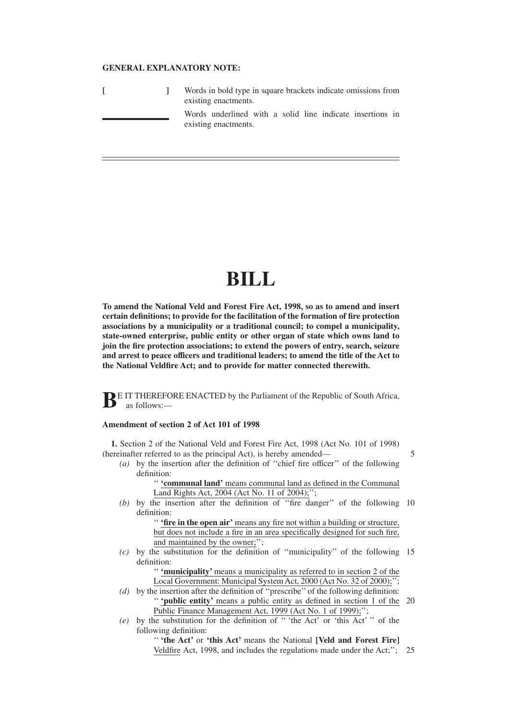### **GENERAL EXPLANATORY NOTE:**

|  | Words in bold type in square brackets indicate omissions from<br>existing enactments. |                                                                                   |  |  |  |  |  |  |  |
|--|---------------------------------------------------------------------------------------|-----------------------------------------------------------------------------------|--|--|--|--|--|--|--|
|  |                                                                                       | Words underlined with a solid line indicate insertions in<br>existing enactments. |  |  |  |  |  |  |  |

# **BILL**

**To amend the National Veld and Forest Fire Act, 1998, so as to amend and insert certain definitions; to provide for the facilitation of the formation of fire protection associations by a municipality or a traditional council; to compel a municipality, state-owned enterprise, public entity or other organ of state which owns land to join the fire protection associations; to extend the powers of entry, search, seizure and arrest to peace officers and traditional leaders; to amend the title of the Act to the National Veldfire Act; and to provide for matter connected therewith.**

**BE IT THEREFORE ENACTED by the Parliament of the Republic of South Africa,** as follows:—

## **Amendment of section 2 of Act 101 of 1998**

**1.** Section 2 of the National Veld and Forest Fire Act, 1998 (Act No. 101 of 1998) (hereinafter referred to as the principal Act), is hereby amended—

5

*(a)* by the insertion after the definition of ''chief fire officer'' of the following definition:

'' **'communal land'** means communal land as defined in the Communal Land Rights Act, 2004 (Act No. 11 of 2004);'';

*(b)* by the insertion after the definition of ''fire danger'' of the following 10 definition:

'' **'fire in the open air'** means any fire not within a building or structure, but does not include a fire in an area specifically designed for such fire, and maintained by the owner;";

*(c)* by the substitution for the definition of ''municipality'' of the following 15 definition:

> '' **'municipality'** means a municipality as referred to in section 2 of the Local Government: Municipal System Act, 2000 (Act No. 32 of 2000);";

- *(d)* by the insertion after the definition of ''prescribe'' of the following definition: '' **'public entity'** means a public entity as defined in section 1 of the 20 Public Finance Management Act, 1999 (Act No. 1 of 1999);";
- *(e)* by the substitution for the definition of '' 'the Act' or 'this Act' '' of the following definition:

'' **'the Act'** or **'this Act'** means the National **[Veld and Forest Fire]** Veldfire Act, 1998, and includes the regulations made under the Act;''; 25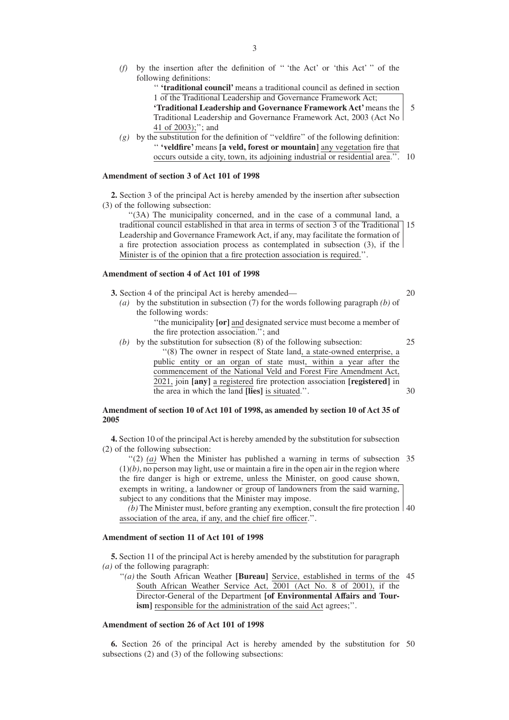*(f)* by the insertion after the definition of '' 'the Act' or 'this Act' '' of the following definitions:

'' **'traditional council'** means a traditional council as defined in section 1 of the Traditional Leadership and Governance Framework Act;

**'Traditional Leadership and Governance Framework Act'**means the Traditional Leadership and Governance Framework Act, 2003 (Act No 41 of 2003);''; and 5

 $(g)$  by the substitution for the definition of "veldfire" of the following definition: '' **'veldfire'** means **[a veld, forest or mountain]** any vegetation fire that occurs outside a city, town, its adjoining industrial or residential area.''. 10

## **Amendment of section 3 of Act 101 of 1998**

**2.** Section 3 of the principal Act is hereby amended by the insertion after subsection (3) of the following subsection:

''(3A) The municipality concerned, and in the case of a communal land, a traditional council established in that area in terms of section 3 of the Traditional 15 Leadership and Governance Framework Act, if any, may facilitate the formation of a fire protection association process as contemplated in subsection (3), if the Minister is of the opinion that a fire protection association is required.<sup>'</sup>

#### **Amendment of section 4 of Act 101 of 1998**

**3.** Section 4 of the principal Act is hereby amended—

*(a)* by the substitution in subsection (7) for the words following paragraph *(b)* of the following words:

''the municipality **[or]** and designated service must become a member of the fire protection association.''; and

*(b)* by the substitution for subsection (8) of the following subsection: ''(8) The owner in respect of State land, a state-owned enterprise, a public entity or an organ of state must, within a year after the commencement of the National Veld and Forest Fire Amendment Act, 2021, join **[any]** a registered fire protection association **[registered]** in the area in which the land **[lies]** is situated.''. 25 30

## **Amendment of section 10 of Act 101 of 1998, as amended by section 10 of Act 35 of 2005**

**4.** Section 10 of the principal Act is hereby amended by the substitution for subsection (2) of the following subsection:

"(2) (a) When the Minister has published a warning in terms of subsection 35  $(1)(b)$ , no person may light, use or maintain a fire in the open air in the region where the fire danger is high or extreme, unless the Minister, on good cause shown, exempts in writing, a landowner or group of landowners from the said warning, subject to any conditions that the Minister may impose.

*(b)* The Minister must, before granting any exemption, consult the fire protection 40 association of the area, if any, and the chief fire officer.''.

## **Amendment of section 11 of Act 101 of 1998**

**5.** Section 11 of the principal Act is hereby amended by the substitution for paragraph *(a)* of the following paragraph:

"(a) the South African Weather [Bureau] Service, established in terms of the 45 South African Weather Service Act, 2001 (Act No. 8 of 2001), if the Director-General of the Department **[of Environmental Affairs and Tour**ism] responsible for the administration of the said Act agrees;".

## **Amendment of section 26 of Act 101 of 1998**

**6.** Section 26 of the principal Act is hereby amended by the substitution for 50subsections (2) and (3) of the following subsections:

20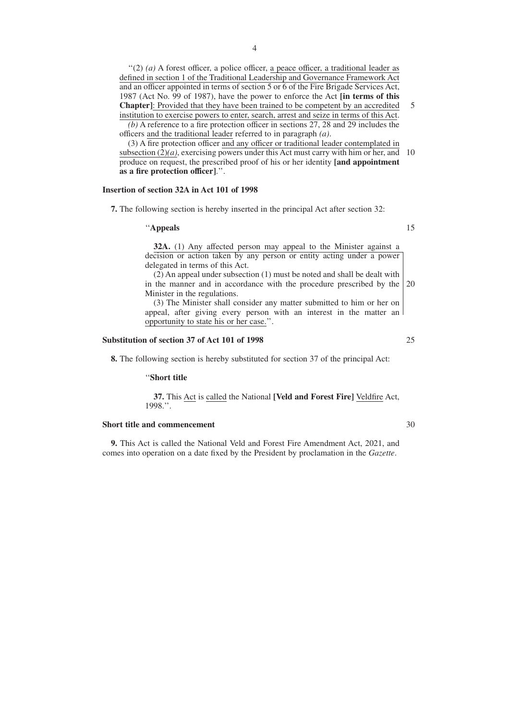''(2) *(a)* A forest officer, a police officer, a peace officer, a traditional leader as defined in section 1 of the Traditional Leadership and Governance Framework Act and an officer appointed in terms of section 5 or 6 of the Fire Brigade Services Act, 1987 (Act No. 99 of 1987), have the power to enforce the Act **[in terms of this Chapter]**: Provided that they have been trained to be competent by an accredited institution to exercise powers to enter, search, arrest and seize in terms of this Act. *(b)* A reference to a fire protection officer in sections 27, 28 and 29 includes the

officers and the traditional leader referred to in paragraph *(a)*.

(3) A fire protection officer and any officer or traditional leader contemplated in subsection  $(2)(a)$ , exercising powers under this Act must carry with him or her, and produce on request, the prescribed proof of his or her identity **[and appointment as a fire protection officer]**.''. 10

#### **Insertion of section 32A in Act 101 of 1998**

**7.** The following section is hereby inserted in the principal Act after section 32:

#### ''**Appeals**

15

25

30

5

**32A.** (1) Any affected person may appeal to the Minister against a decision or action taken by any person or entity acting under a power delegated in terms of this Act.

(2) An appeal under subsection (1) must be noted and shall be dealt with in the manner and in accordance with the procedure prescribed by the Minister in the regulations. 20

(3) The Minister shall consider any matter submitted to him or her on appeal, after giving every person with an interest in the matter an opportunity to state his or her case.''.

#### **Substitution of section 37 of Act 101 of 1998**

**8.** The following section is hereby substituted for section 37 of the principal Act:

#### ''**Short title**

**37.** This Act is called the National **[Veld and Forest Fire]** Veldfire Act, 1998.''.

#### **Short title and commencement**

**9.** This Act is called the National Veld and Forest Fire Amendment Act, 2021, and comes into operation on a date fixed by the President by proclamation in the *Gazette*.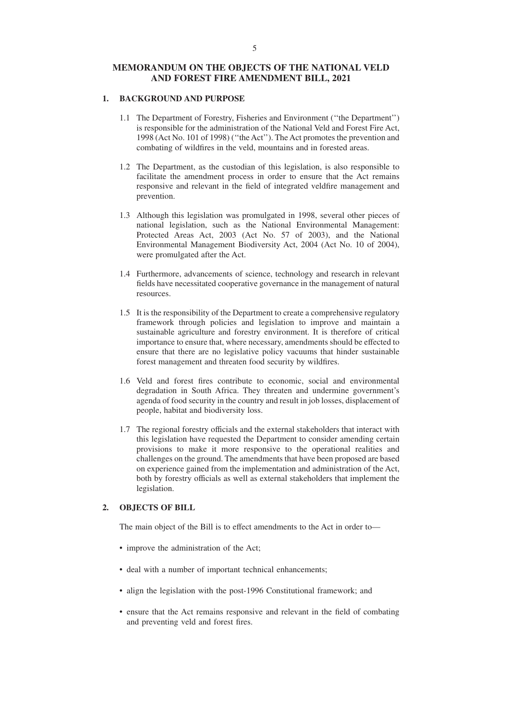## **MEMORANDUM ON THE OBJECTS OF THE NATIONAL VELD AND FOREST FIRE AMENDMENT BILL, 2021**

## **1. BACKGROUND AND PURPOSE**

- 1.1 The Department of Forestry, Fisheries and Environment (''the Department'') is responsible for the administration of the National Veld and Forest Fire Act, 1998 (Act No. 101 of 1998) (''the Act''). The Act promotes the prevention and combating of wildfires in the veld, mountains and in forested areas.
- 1.2 The Department, as the custodian of this legislation, is also responsible to facilitate the amendment process in order to ensure that the Act remains responsive and relevant in the field of integrated veldfire management and prevention.
- 1.3 Although this legislation was promulgated in 1998, several other pieces of national legislation, such as the National Environmental Management: Protected Areas Act, 2003 (Act No. 57 of 2003), and the National Environmental Management Biodiversity Act, 2004 (Act No. 10 of 2004), were promulgated after the Act.
- 1.4 Furthermore, advancements of science, technology and research in relevant fields have necessitated cooperative governance in the management of natural resources.
- 1.5 It is the responsibility of the Department to create a comprehensive regulatory framework through policies and legislation to improve and maintain a sustainable agriculture and forestry environment. It is therefore of critical importance to ensure that, where necessary, amendments should be effected to ensure that there are no legislative policy vacuums that hinder sustainable forest management and threaten food security by wildfires.
- 1.6 Veld and forest fires contribute to economic, social and environmental degradation in South Africa. They threaten and undermine government's agenda of food security in the country and result in job losses, displacement of people, habitat and biodiversity loss.
- 1.7 The regional forestry officials and the external stakeholders that interact with this legislation have requested the Department to consider amending certain provisions to make it more responsive to the operational realities and challenges on the ground. The amendments that have been proposed are based on experience gained from the implementation and administration of the Act, both by forestry officials as well as external stakeholders that implement the legislation.

## **2. OBJECTS OF BILL**

The main object of the Bill is to effect amendments to the Act in order to—

- improve the administration of the Act;
- deal with a number of important technical enhancements;
- align the legislation with the post-1996 Constitutional framework; and
- ensure that the Act remains responsive and relevant in the field of combating and preventing veld and forest fires.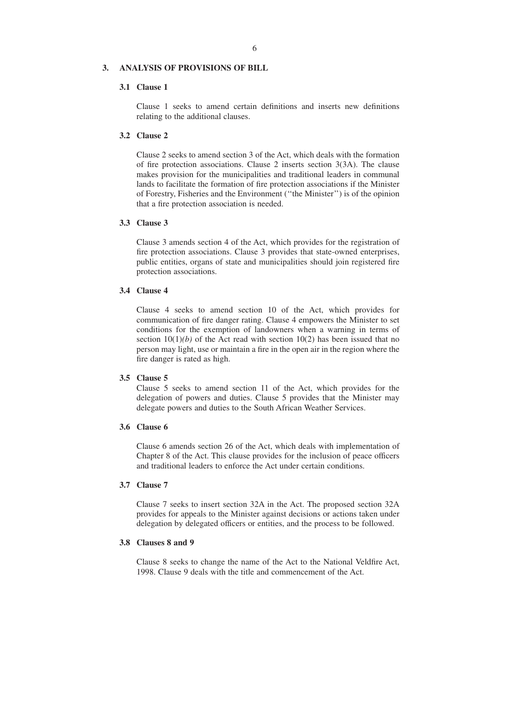## **3. ANALYSIS OF PROVISIONS OF BILL**

## **3.1 Clause 1**

Clause 1 seeks to amend certain definitions and inserts new definitions relating to the additional clauses.

## **3.2 Clause 2**

Clause 2 seeks to amend section 3 of the Act, which deals with the formation of fire protection associations. Clause 2 inserts section 3(3A). The clause makes provision for the municipalities and traditional leaders in communal lands to facilitate the formation of fire protection associations if the Minister of Forestry, Fisheries and the Environment (''the Minister'') is of the opinion that a fire protection association is needed.

#### **3.3 Clause 3**

Clause 3 amends section 4 of the Act, which provides for the registration of fire protection associations. Clause 3 provides that state-owned enterprises, public entities, organs of state and municipalities should join registered fire protection associations.

## **3.4 Clause 4**

Clause 4 seeks to amend section 10 of the Act, which provides for communication of fire danger rating. Clause 4 empowers the Minister to set conditions for the exemption of landowners when a warning in terms of section  $10(1)(b)$  of the Act read with section  $10(2)$  has been issued that no person may light, use or maintain a fire in the open air in the region where the fire danger is rated as high.

## **3.5 Clause 5**

Clause 5 seeks to amend section 11 of the Act, which provides for the delegation of powers and duties. Clause 5 provides that the Minister may delegate powers and duties to the South African Weather Services.

# **3.6 Clause 6**

Clause 6 amends section 26 of the Act, which deals with implementation of Chapter 8 of the Act. This clause provides for the inclusion of peace officers and traditional leaders to enforce the Act under certain conditions.

## **3.7 Clause 7**

Clause 7 seeks to insert section 32A in the Act. The proposed section 32A provides for appeals to the Minister against decisions or actions taken under delegation by delegated officers or entities, and the process to be followed.

#### **3.8 Clauses 8 and 9**

Clause 8 seeks to change the name of the Act to the National Veldfire Act, 1998. Clause 9 deals with the title and commencement of the Act.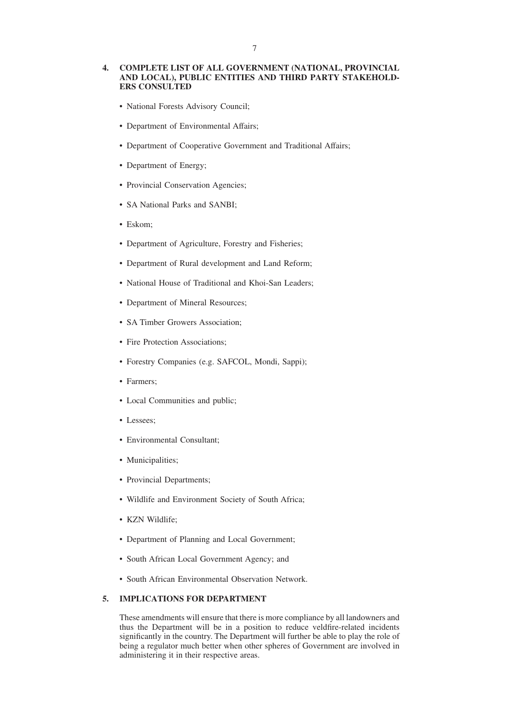## **4. COMPLETE LIST OF ALL GOVERNMENT (NATIONAL, PROVINCIAL AND LOCAL), PUBLIC ENTITIES AND THIRD PARTY STAKEHOLD-ERS CONSULTED**

- National Forests Advisory Council;
- Department of Environmental Affairs;
- Department of Cooperative Government and Traditional Affairs;
- Department of Energy;
- Provincial Conservation Agencies;
- SA National Parks and SANBI;
- Eskom;
- Department of Agriculture, Forestry and Fisheries;
- Department of Rural development and Land Reform;
- National House of Traditional and Khoi-San Leaders;
- Department of Mineral Resources;
- SA Timber Growers Association;
- Fire Protection Associations;
- Forestry Companies (e.g. SAFCOL, Mondi, Sappi);
- Farmers;
- Local Communities and public;
- Lessees;
- Environmental Consultant;
- Municipalities;
- Provincial Departments;
- Wildlife and Environment Society of South Africa;
- KZN Wildlife;
- Department of Planning and Local Government;
- South African Local Government Agency; and
- South African Environmental Observation Network.

# **5. IMPLICATIONS FOR DEPARTMENT**

These amendments will ensure that there is more compliance by all landowners and thus the Department will be in a position to reduce veldfire-related incidents significantly in the country. The Department will further be able to play the role of being a regulator much better when other spheres of Government are involved in administering it in their respective areas.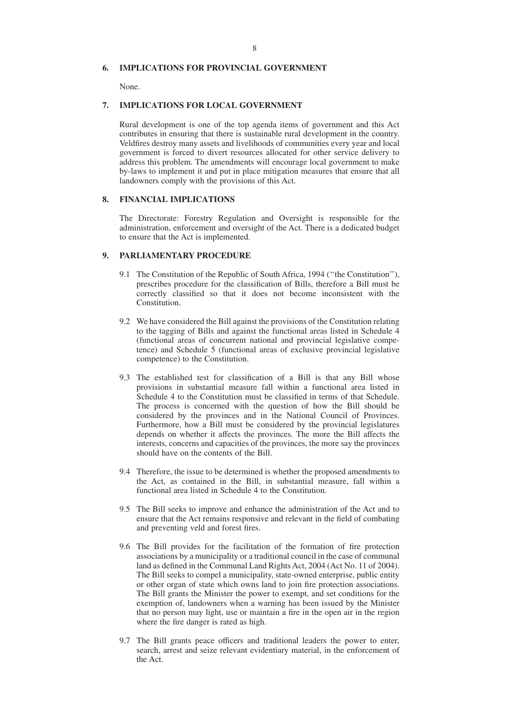## **6. IMPLICATIONS FOR PROVINCIAL GOVERNMENT**

None.

#### **7. IMPLICATIONS FOR LOCAL GOVERNMENT**

Rural development is one of the top agenda items of government and this Act contributes in ensuring that there is sustainable rural development in the country. Veldfires destroy many assets and livelihoods of communities every year and local government is forced to divert resources allocated for other service delivery to address this problem. The amendments will encourage local government to make by-laws to implement it and put in place mitigation measures that ensure that all landowners comply with the provisions of this Act.

## **8. FINANCIAL IMPLICATIONS**

The Directorate: Forestry Regulation and Oversight is responsible for the administration, enforcement and oversight of the Act. There is a dedicated budget to ensure that the Act is implemented.

## **9. PARLIAMENTARY PROCEDURE**

- 9.1 The Constitution of the Republic of South Africa, 1994 (''the Constitution''), prescribes procedure for the classification of Bills, therefore a Bill must be correctly classified so that it does not become inconsistent with the Constitution.
- 9.2 We have considered the Bill against the provisions of the Constitution relating to the tagging of Bills and against the functional areas listed in Schedule 4 (functional areas of concurrent national and provincial legislative competence) and Schedule 5 (functional areas of exclusive provincial legislative competence) to the Constitution.
- 9.3 The established test for classification of a Bill is that any Bill whose provisions in substantial measure fall within a functional area listed in Schedule 4 to the Constitution must be classified in terms of that Schedule. The process is concerned with the question of how the Bill should be considered by the provinces and in the National Council of Provinces. Furthermore, how a Bill must be considered by the provincial legislatures depends on whether it affects the provinces. The more the Bill affects the interests, concerns and capacities of the provinces, the more say the provinces should have on the contents of the Bill.
- 9.4 Therefore, the issue to be determined is whether the proposed amendments to the Act, as contained in the Bill, in substantial measure, fall within a functional area listed in Schedule 4 to the Constitution.
- 9.5 The Bill seeks to improve and enhance the administration of the Act and to ensure that the Act remains responsive and relevant in the field of combating and preventing veld and forest fires.
- 9.6 The Bill provides for the facilitation of the formation of fire protection associations by a municipality or a traditional council in the case of communal land as defined in the Communal Land Rights Act, 2004 (Act No. 11 of 2004). The Bill seeks to compel a municipality, state-owned enterprise, public entity or other organ of state which owns land to join fire protection associations. The Bill grants the Minister the power to exempt, and set conditions for the exemption of, landowners when a warning has been issued by the Minister that no person may light, use or maintain a fire in the open air in the region where the fire danger is rated as high.
- 9.7 The Bill grants peace officers and traditional leaders the power to enter, search, arrest and seize relevant evidentiary material, in the enforcement of the Act.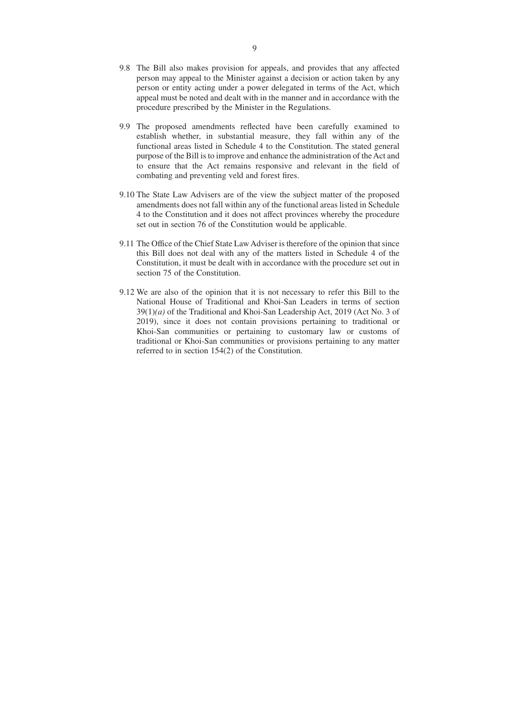- 9.8 The Bill also makes provision for appeals, and provides that any affected person may appeal to the Minister against a decision or action taken by any person or entity acting under a power delegated in terms of the Act, which appeal must be noted and dealt with in the manner and in accordance with the procedure prescribed by the Minister in the Regulations.
- 9.9 The proposed amendments reflected have been carefully examined to establish whether, in substantial measure, they fall within any of the functional areas listed in Schedule 4 to the Constitution. The stated general purpose of the Bill is to improve and enhance the administration of the Act and to ensure that the Act remains responsive and relevant in the field of combating and preventing veld and forest fires.
- 9.10 The State Law Advisers are of the view the subject matter of the proposed amendments does not fall within any of the functional areas listed in Schedule 4 to the Constitution and it does not affect provinces whereby the procedure set out in section 76 of the Constitution would be applicable.
- 9.11 The Office of the Chief State Law Adviser is therefore of the opinion that since this Bill does not deal with any of the matters listed in Schedule 4 of the Constitution, it must be dealt with in accordance with the procedure set out in section 75 of the Constitution.
- 9.12 We are also of the opinion that it is not necessary to refer this Bill to the National House of Traditional and Khoi-San Leaders in terms of section 39(1)*(a)* of the Traditional and Khoi-San Leadership Act, 2019 (Act No. 3 of 2019), since it does not contain provisions pertaining to traditional or Khoi-San communities or pertaining to customary law or customs of traditional or Khoi-San communities or provisions pertaining to any matter referred to in section 154(2) of the Constitution.